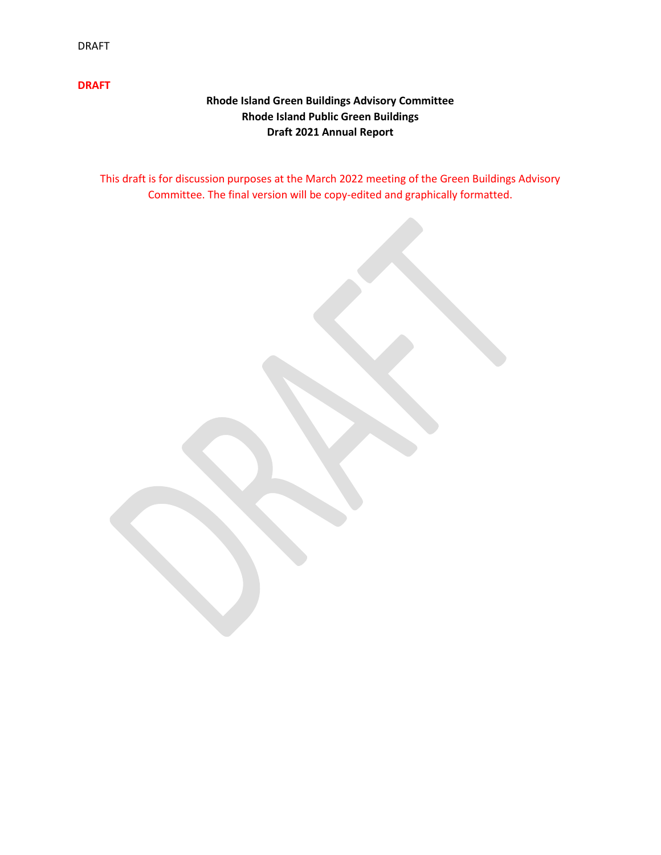## **Rhode Island Green Buildings Advisory Committee Rhode Island Public Green Buildings Draft 2021 Annual Report**

This draft is for discussion purposes at the March 2022 meeting of the Green Buildings Advisory Committee. The final version will be copy-edited and graphically formatted.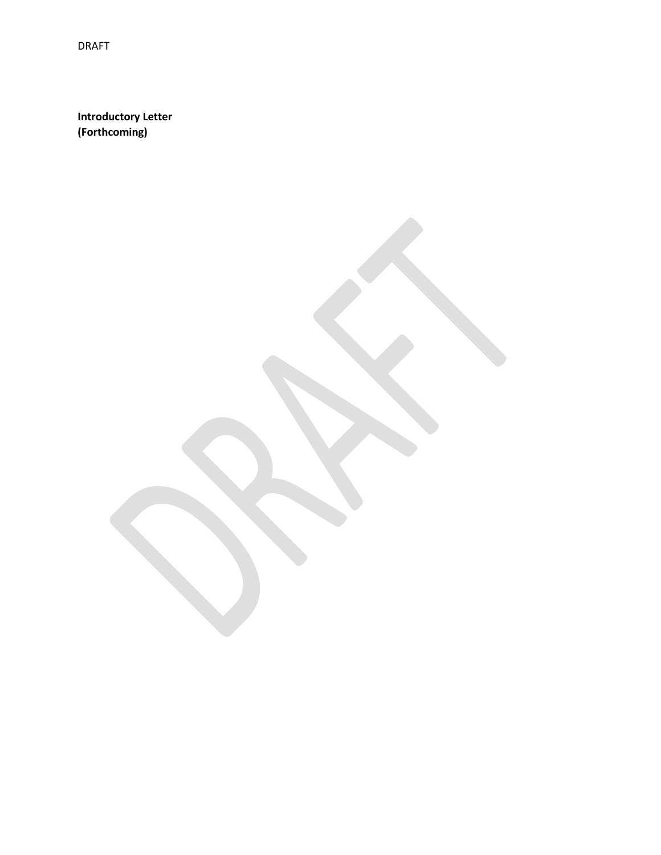**Introductory Letter (Forthcoming)**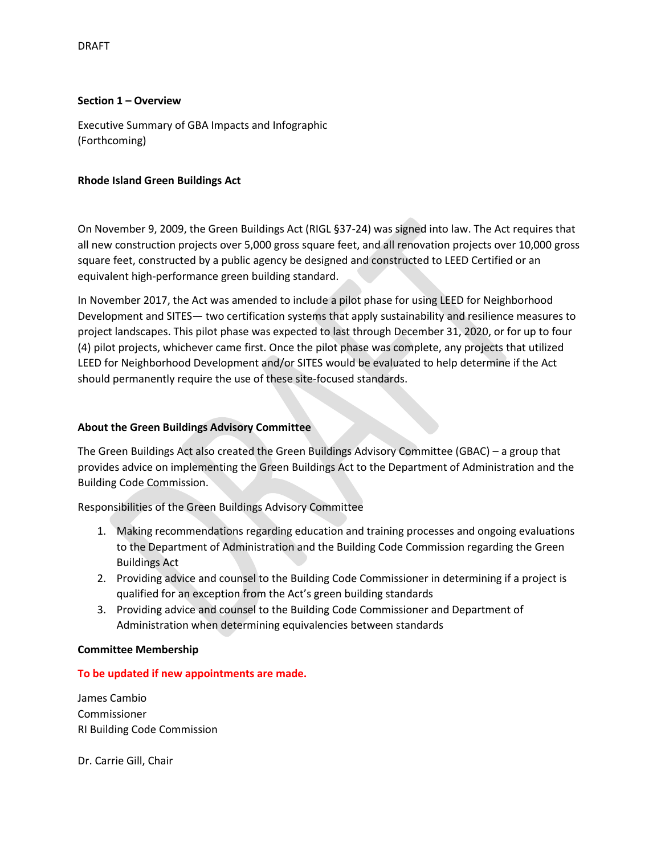## **Section 1 – Overview**

Executive Summary of GBA Impacts and Infographic (Forthcoming)

### **Rhode Island Green Buildings Act**

On November 9, 2009, the Green Buildings Act (RIGL §37-24) was signed into law. The Act requires that all new construction projects over 5,000 gross square feet, and all renovation projects over 10,000 gross square feet, constructed by a public agency be designed and constructed to LEED Certified or an equivalent high-performance green building standard.

In November 2017, the Act was amended to include a pilot phase for using LEED for Neighborhood Development and SITES— two certification systems that apply sustainability and resilience measures to project landscapes. This pilot phase was expected to last through December 31, 2020, or for up to four (4) pilot projects, whichever came first. Once the pilot phase was complete, any projects that utilized LEED for Neighborhood Development and/or SITES would be evaluated to help determine if the Act should permanently require the use of these site-focused standards.

## **About the Green Buildings Advisory Committee**

The Green Buildings Act also created the Green Buildings Advisory Committee (GBAC) – a group that provides advice on implementing the Green Buildings Act to the Department of Administration and the Building Code Commission.

Responsibilities of the Green Buildings Advisory Committee

- 1. Making recommendations regarding education and training processes and ongoing evaluations to the Department of Administration and the Building Code Commission regarding the Green Buildings Act
- 2. Providing advice and counsel to the Building Code Commissioner in determining if a project is qualified for an exception from the Act's green building standards
- 3. Providing advice and counsel to the Building Code Commissioner and Department of Administration when determining equivalencies between standards

### **Committee Membership**

### **To be updated if new appointments are made.**

James Cambio Commissioner RI Building Code Commission

Dr. Carrie Gill, Chair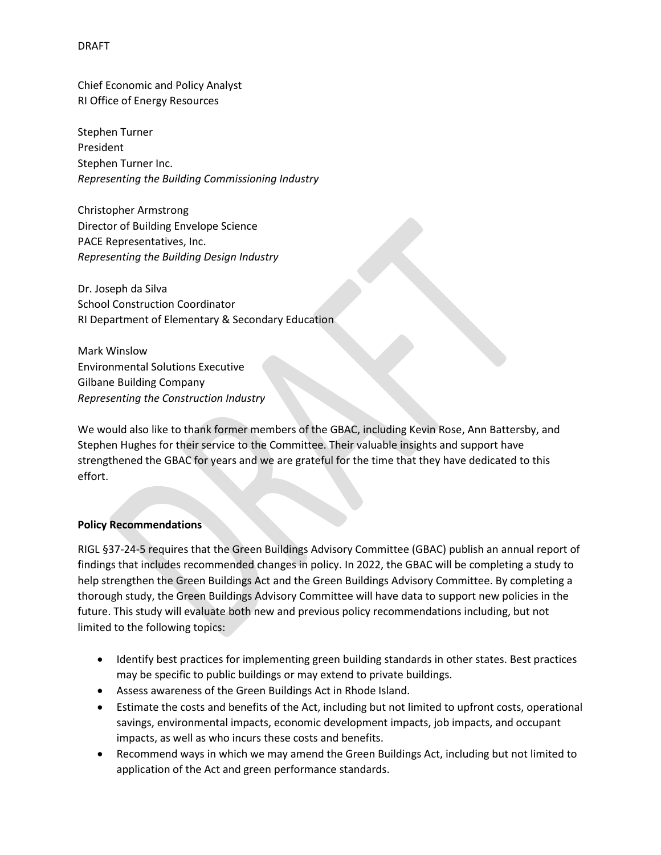Chief Economic and Policy Analyst RI Office of Energy Resources

Stephen Turner President Stephen Turner Inc. *Representing the Building Commissioning Industry*

Christopher Armstrong Director of Building Envelope Science PACE Representatives, Inc. *Representing the Building Design Industry*

Dr. Joseph da Silva School Construction Coordinator RI Department of Elementary & Secondary Education

Mark Winslow Environmental Solutions Executive Gilbane Building Company *Representing the Construction Industry*

We would also like to thank former members of the GBAC, including Kevin Rose, Ann Battersby, and Stephen Hughes for their service to the Committee. Their valuable insights and support have strengthened the GBAC for years and we are grateful for the time that they have dedicated to this effort.

### **Policy Recommendations**

RIGL §37-24-5 requires that the Green Buildings Advisory Committee (GBAC) publish an annual report of findings that includes recommended changes in policy. In 2022, the GBAC will be completing a study to help strengthen the Green Buildings Act and the Green Buildings Advisory Committee. By completing a thorough study, the Green Buildings Advisory Committee will have data to support new policies in the future. This study will evaluate both new and previous policy recommendations including, but not limited to the following topics:

- Identify best practices for implementing green building standards in other states. Best practices may be specific to public buildings or may extend to private buildings.
- Assess awareness of the Green Buildings Act in Rhode Island.
- Estimate the costs and benefits of the Act, including but not limited to upfront costs, operational savings, environmental impacts, economic development impacts, job impacts, and occupant impacts, as well as who incurs these costs and benefits.
- Recommend ways in which we may amend the Green Buildings Act, including but not limited to application of the Act and green performance standards.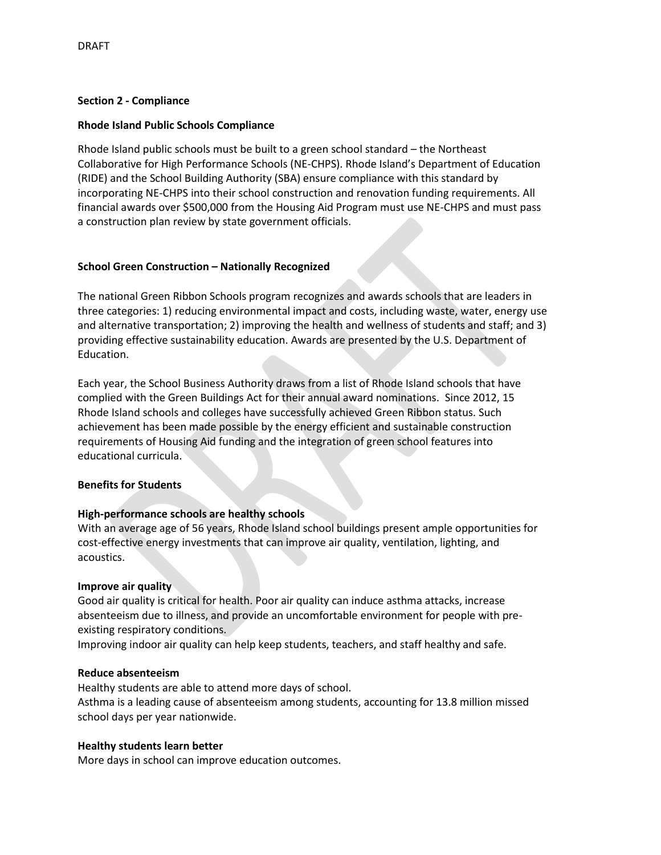### **Section 2 - Compliance**

## **Rhode Island Public Schools Compliance**

Rhode Island public schools must be built to a green school standard – the Northeast Collaborative for High Performance Schools (NE-CHPS). Rhode Island's Department of Education (RIDE) and the School Building Authority (SBA) ensure compliance with this standard by incorporating NE-CHPS into their school construction and renovation funding requirements. All financial awards over \$500,000 from the Housing Aid Program must use NE-CHPS and must pass a construction plan review by state government officials.

## **School Green Construction – Nationally Recognized**

The national Green Ribbon Schools program recognizes and awards schools that are leaders in three categories: 1) reducing environmental impact and costs, including waste, water, energy use and alternative transportation; 2) improving the health and wellness of students and staff; and 3) providing effective sustainability education. Awards are presented by the U.S. Department of Education.

Each year, the School Business Authority draws from a list of Rhode Island schools that have complied with the Green Buildings Act for their annual award nominations. Since 2012, 15 Rhode Island schools and colleges have successfully achieved Green Ribbon status. Such achievement has been made possible by the energy efficient and sustainable construction requirements of Housing Aid funding and the integration of green school features into educational curricula.

### **Benefits for Students**

### **High-performance schools are healthy schools**

With an average age of 56 years, Rhode Island school buildings present ample opportunities for cost-effective energy investments that can improve air quality, ventilation, lighting, and acoustics.

### **Improve air quality**

Good air quality is critical for health. Poor air quality can induce asthma attacks, increase absenteeism due to illness, and provide an uncomfortable environment for people with preexisting respiratory conditions.

Improving indoor air quality can help keep students, teachers, and staff healthy and safe.

### **Reduce absenteeism**

Healthy students are able to attend more days of school. Asthma is a leading cause of absenteeism among students, accounting for 13.8 million missed school days per year nationwide.

### **Healthy students learn better**

More days in school can improve education outcomes.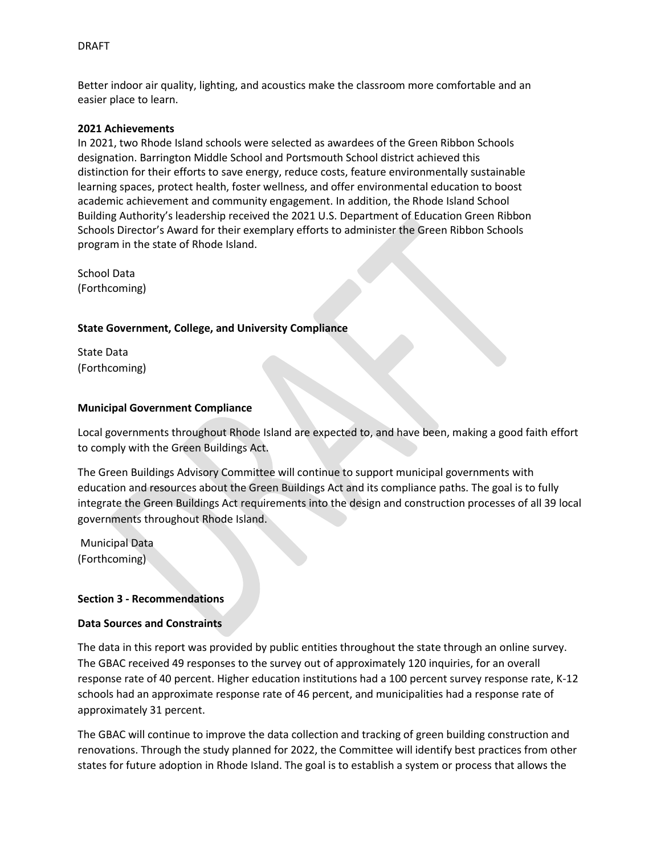Better indoor air quality, lighting, and acoustics make the classroom more comfortable and an easier place to learn.

#### **2021 Achievements**

In 2021, two Rhode Island schools were selected as awardees of the Green Ribbon Schools designation. Barrington Middle School and Portsmouth School district achieved this distinction for their efforts to save energy, reduce costs, feature environmentally sustainable learning spaces, protect health, foster wellness, and offer environmental education to boost academic achievement and community engagement. In addition, the Rhode Island School Building Authority's leadership received the 2021 U.S. Department of Education Green Ribbon Schools Director's Award for their exemplary efforts to administer the Green Ribbon Schools program in the state of Rhode Island.

School Data (Forthcoming)

#### **State Government, College, and University Compliance**

State Data (Forthcoming)

#### **Municipal Government Compliance**

Local governments throughout Rhode Island are expected to, and have been, making a good faith effort to comply with the Green Buildings Act.

The Green Buildings Advisory Committee will continue to support municipal governments with education and resources about the Green Buildings Act and its compliance paths. The goal is to fully integrate the Green Buildings Act requirements into the design and construction processes of all 39 local governments throughout Rhode Island.

Municipal Data (Forthcoming)

#### **Section 3 - Recommendations**

#### **Data Sources and Constraints**

The data in this report was provided by public entities throughout the state through an online survey. The GBAC received 49 responses to the survey out of approximately 120 inquiries, for an overall response rate of 40 percent. Higher education institutions had a 100 percent survey response rate, K-12 schools had an approximate response rate of 46 percent, and municipalities had a response rate of approximately 31 percent.

The GBAC will continue to improve the data collection and tracking of green building construction and renovations. Through the study planned for 2022, the Committee will identify best practices from other states for future adoption in Rhode Island. The goal is to establish a system or process that allows the